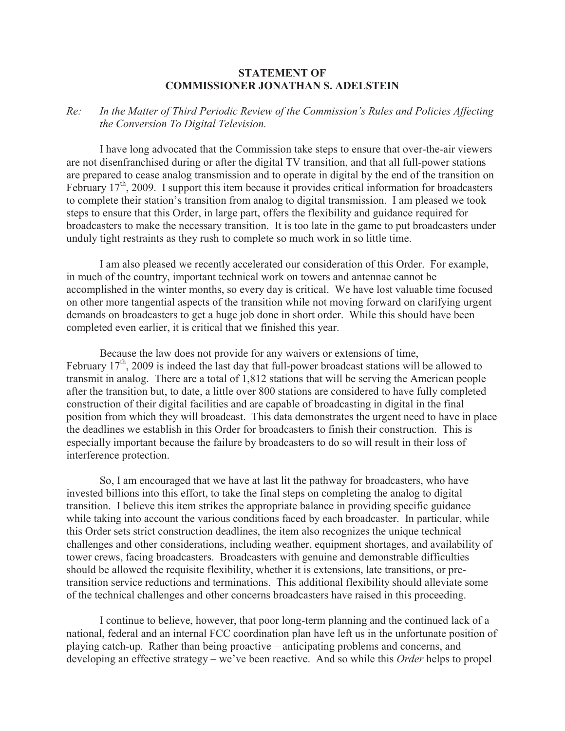## **STATEMENT OF COMMISSIONER JONATHAN S. ADELSTEIN**

## *Re: In the Matter of Third Periodic Review of the Commission's Rules and Policies Affecting the Conversion To Digital Television.*

I have long advocated that the Commission take steps to ensure that over-the-air viewers are not disenfranchised during or after the digital TV transition, and that all full-power stations are prepared to cease analog transmission and to operate in digital by the end of the transition on February 17<sup>th</sup>, 2009. I support this item because it provides critical information for broadcasters to complete their station's transition from analog to digital transmission. I am pleased we took steps to ensure that this Order, in large part, offers the flexibility and guidance required for broadcasters to make the necessary transition. It is too late in the game to put broadcasters under unduly tight restraints as they rush to complete so much work in so little time.

I am also pleased we recently accelerated our consideration of this Order. For example, in much of the country, important technical work on towers and antennae cannot be accomplished in the winter months, so every day is critical. We have lost valuable time focused on other more tangential aspects of the transition while not moving forward on clarifying urgent demands on broadcasters to get a huge job done in short order. While this should have been completed even earlier, it is critical that we finished this year.

Because the law does not provide for any waivers or extensions of time, February  $17<sup>th</sup>$ , 2009 is indeed the last day that full-power broadcast stations will be allowed to transmit in analog. There are a total of 1,812 stations that will be serving the American people after the transition but, to date, a little over 800 stations are considered to have fully completed construction of their digital facilities and are capable of broadcasting in digital in the final position from which they will broadcast. This data demonstrates the urgent need to have in place the deadlines we establish in this Order for broadcasters to finish their construction. This is especially important because the failure by broadcasters to do so will result in their loss of interference protection.

So, I am encouraged that we have at last lit the pathway for broadcasters, who have invested billions into this effort, to take the final steps on completing the analog to digital transition. I believe this item strikes the appropriate balance in providing specific guidance while taking into account the various conditions faced by each broadcaster. In particular, while this Order sets strict construction deadlines, the item also recognizes the unique technical challenges and other considerations, including weather, equipment shortages, and availability of tower crews, facing broadcasters. Broadcasters with genuine and demonstrable difficulties should be allowed the requisite flexibility, whether it is extensions, late transitions, or pretransition service reductions and terminations. This additional flexibility should alleviate some of the technical challenges and other concerns broadcasters have raised in this proceeding.

I continue to believe, however, that poor long-term planning and the continued lack of a national, federal and an internal FCC coordination plan have left us in the unfortunate position of playing catch-up. Rather than being proactive – anticipating problems and concerns, and developing an effective strategy – we've been reactive. And so while this *Order* helps to propel